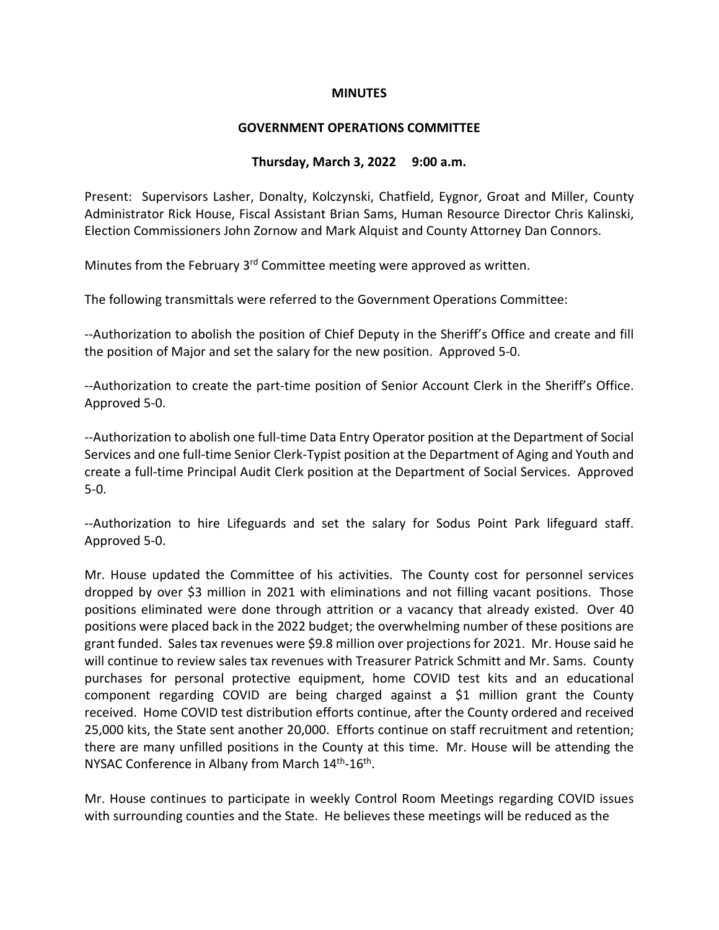### **MINUTES**

#### **GOVERNMENT OPERATIONS COMMITTEE**

#### **Thursday, March 3, 2022 9:00 a.m.**

Present: Supervisors Lasher, Donalty, Kolczynski, Chatfield, Eygnor, Groat and Miller, County Administrator Rick House, Fiscal Assistant Brian Sams, Human Resource Director Chris Kalinski, Election Commissioners John Zornow and Mark Alquist and County Attorney Dan Connors.

Minutes from the February 3<sup>rd</sup> Committee meeting were approved as written.

The following transmittals were referred to the Government Operations Committee:

--Authorization to abolish the position of Chief Deputy in the Sheriff's Office and create and fill the position of Major and set the salary for the new position. Approved 5-0.

--Authorization to create the part-time position of Senior Account Clerk in the Sheriff's Office. Approved 5-0.

--Authorization to abolish one full-time Data Entry Operator position at the Department of Social Services and one full-time Senior Clerk-Typist position at the Department of Aging and Youth and create a full-time Principal Audit Clerk position at the Department of Social Services. Approved 5-0.

--Authorization to hire Lifeguards and set the salary for Sodus Point Park lifeguard staff. Approved 5-0.

Mr. House updated the Committee of his activities. The County cost for personnel services dropped by over \$3 million in 2021 with eliminations and not filling vacant positions. Those positions eliminated were done through attrition or a vacancy that already existed. Over 40 positions were placed back in the 2022 budget; the overwhelming number of these positions are grant funded. Sales tax revenues were \$9.8 million over projections for 2021. Mr. House said he will continue to review sales tax revenues with Treasurer Patrick Schmitt and Mr. Sams. County purchases for personal protective equipment, home COVID test kits and an educational component regarding COVID are being charged against a \$1 million grant the County received. Home COVID test distribution efforts continue, after the County ordered and received 25,000 kits, the State sent another 20,000. Efforts continue on staff recruitment and retention; there are many unfilled positions in the County at this time. Mr. House will be attending the NYSAC Conference in Albany from March 14<sup>th</sup>-16<sup>th</sup>.

Mr. House continues to participate in weekly Control Room Meetings regarding COVID issues with surrounding counties and the State. He believes these meetings will be reduced as the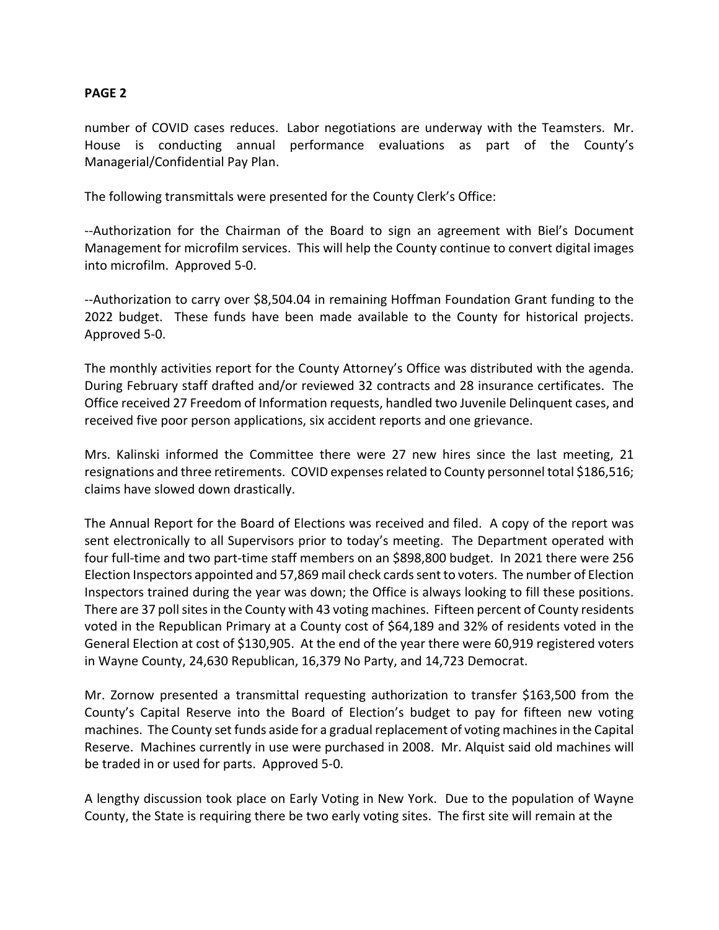# **PAGE 2**

number of COVID cases reduces. Labor negotiations are underway with the Teamsters. Mr. House is conducting annual performance evaluations as part of the County's Managerial/Confidential Pay Plan.

The following transmittals were presented for the County Clerk's Office:

--Authorization for the Chairman of the Board to sign an agreement with Biel's Document Management for microfilm services. This will help the County continue to convert digital images into microfilm. Approved 5-0.

--Authorization to carry over \$8,504.04 in remaining Hoffman Foundation Grant funding to the 2022 budget. These funds have been made available to the County for historical projects. Approved 5-0.

The monthly activities report for the County Attorney's Office was distributed with the agenda. During February staff drafted and/or reviewed 32 contracts and 28 insurance certificates. The Office received 27 Freedom of Information requests, handled two Juvenile Delinquent cases, and received five poor person applications, six accident reports and one grievance.

Mrs. Kalinski informed the Committee there were 27 new hires since the last meeting, 21 resignations and three retirements. COVID expenses related to County personnel total \$186,516; claims have slowed down drastically.

The Annual Report for the Board of Elections was received and filed. A copy of the report was sent electronically to all Supervisors prior to today's meeting. The Department operated with four full-time and two part-time staff members on an \$898,800 budget. In 2021 there were 256 Election Inspectors appointed and 57,869 mail check cards sent to voters. The number of Election Inspectors trained during the year was down; the Office is always looking to fill these positions. There are 37 poll sites in the County with 43 voting machines. Fifteen percent of County residents voted in the Republican Primary at a County cost of \$64,189 and 32% of residents voted in the General Election at cost of \$130,905. At the end of the year there were 60,919 registered voters in Wayne County, 24,630 Republican, 16,379 No Party, and 14,723 Democrat.

Mr. Zornow presented a transmittal requesting authorization to transfer \$163,500 from the County's Capital Reserve into the Board of Election's budget to pay for fifteen new voting machines. The County set funds aside for a gradual replacement of voting machines in the Capital Reserve. Machines currently in use were purchased in 2008. Mr. Alquist said old machines will be traded in or used for parts. Approved 5-0.

A lengthy discussion took place on Early Voting in New York. Due to the population of Wayne County, the State is requiring there be two early voting sites. The first site will remain at the